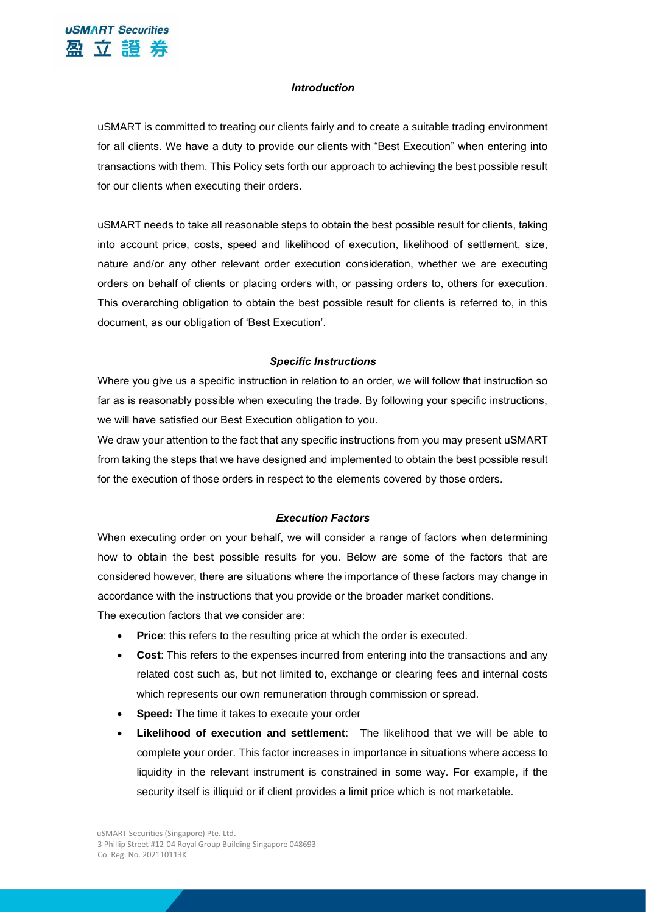

### *Introduction*

uSMART is committed to treating our clients fairly and to create a suitable trading environment for all clients. We have a duty to provide our clients with "Best Execution" when entering into transactions with them. This Policy sets forth our approach to achieving the best possible result for our clients when executing their orders.

uSMART needs to take all reasonable steps to obtain the best possible result for clients, taking into account price, costs, speed and likelihood of execution, likelihood of settlement, size, nature and/or any other relevant order execution consideration, whether we are executing orders on behalf of clients or placing orders with, or passing orders to, others for execution. This overarching obligation to obtain the best possible result for clients is referred to, in this document, as our obligation of 'Best Execution'.

#### *Specific Instructions*

Where you give us a specific instruction in relation to an order, we will follow that instruction so far as is reasonably possible when executing the trade. By following your specific instructions, we will have satisfied our Best Execution obligation to you.

We draw your attention to the fact that any specific instructions from you may present uSMART from taking the steps that we have designed and implemented to obtain the best possible result for the execution of those orders in respect to the elements covered by those orders.

#### *Execution Factors*

When executing order on your behalf, we will consider a range of factors when determining how to obtain the best possible results for you. Below are some of the factors that are considered however, there are situations where the importance of these factors may change in accordance with the instructions that you provide or the broader market conditions.

The execution factors that we consider are:

- **Price:** this refers to the resulting price at which the order is executed.
- **Cost**: This refers to the expenses incurred from entering into the transactions and any related cost such as, but not limited to, exchange or clearing fees and internal costs which represents our own remuneration through commission or spread.
- **Speed:** The time it takes to execute your order
- **Likelihood of execution and settlement**: The likelihood that we will be able to complete your order. This factor increases in importance in situations where access to liquidity in the relevant instrument is constrained in some way. For example, if the security itself is illiquid or if client provides a limit price which is not marketable.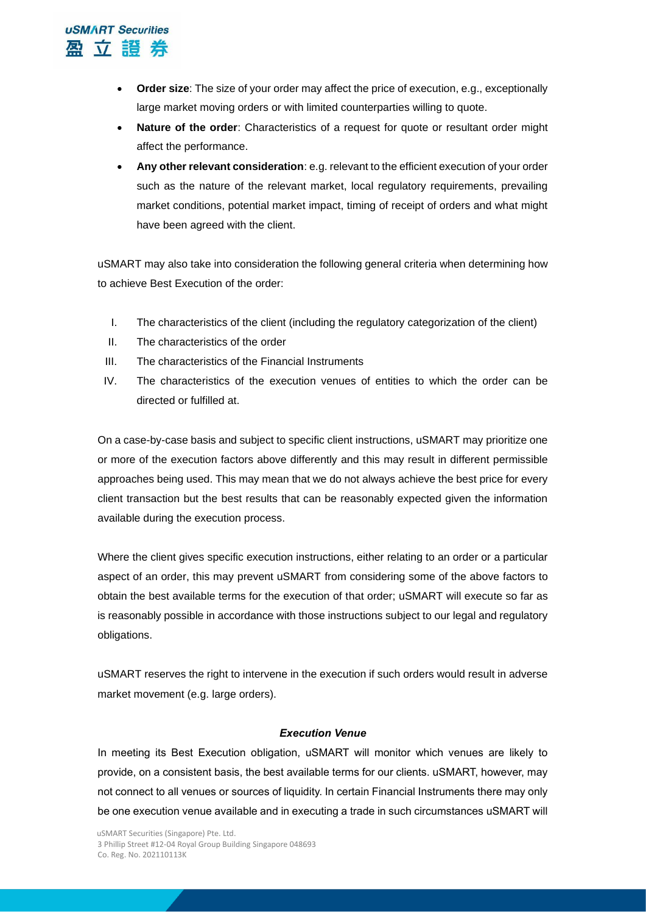

- **Order size**: The size of your order may affect the price of execution, e.g., exceptionally large market moving orders or with limited counterparties willing to quote.
- **Nature of the order:** Characteristics of a request for quote or resultant order might affect the performance.
- **Any other relevant consideration**: e.g. relevant to the efficient execution of your order such as the nature of the relevant market, local regulatory requirements, prevailing market conditions, potential market impact, timing of receipt of orders and what might have been agreed with the client.

uSMART may also take into consideration the following general criteria when determining how to achieve Best Execution of the order:

- I. The characteristics of the client (including the regulatory categorization of the client)
- II. The characteristics of the order
- III. The characteristics of the Financial Instruments
- IV. The characteristics of the execution venues of entities to which the order can be directed or fulfilled at.

On a case-by-case basis and subject to specific client instructions, uSMART may prioritize one or more of the execution factors above differently and this may result in different permissible approaches being used. This may mean that we do not always achieve the best price for every client transaction but the best results that can be reasonably expected given the information available during the execution process.

Where the client gives specific execution instructions, either relating to an order or a particular aspect of an order, this may prevent uSMART from considering some of the above factors to obtain the best available terms for the execution of that order; uSMART will execute so far as is reasonably possible in accordance with those instructions subject to our legal and regulatory obligations.

uSMART reserves the right to intervene in the execution if such orders would result in adverse market movement (e.g. large orders).

## *Execution Venue*

In meeting its Best Execution obligation, uSMART will monitor which venues are likely to provide, on a consistent basis, the best available terms for our clients. uSMART, however, may not connect to all venues or sources of liquidity. In certain Financial Instruments there may only be one execution venue available and in executing a trade in such circumstances uSMART will